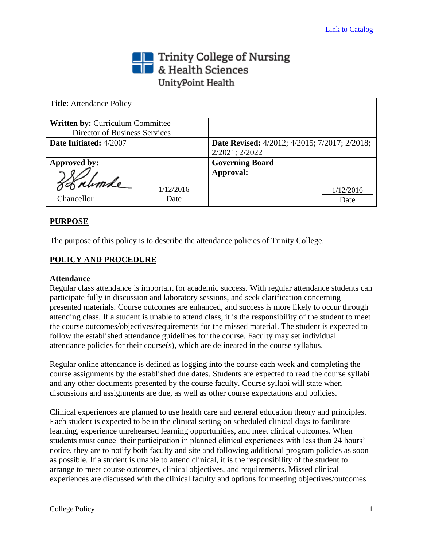## Trinity College of Nursing<br>
Section British Sciences UnityPoint Health

| <b>Title:</b> Attendance Policy         |                                                      |
|-----------------------------------------|------------------------------------------------------|
| <b>Written by: Curriculum Committee</b> |                                                      |
| Director of Business Services           |                                                      |
| Date Initiated: 4/2007                  | <b>Date Revised:</b> 4/2012; 4/2015; 7/2017; 2/2018; |
|                                         | 2/2021; 2/2022                                       |
| Approved by:                            | <b>Governing Board</b>                               |
|                                         | Approval:                                            |
| 1/12/2016                               | 1/12/2016                                            |
| Chancellor<br>Date                      | Date                                                 |

## **PURPOSE**

The purpose of this policy is to describe the attendance policies of Trinity College.

## **POLICY AND PROCEDURE**

## **Attendance**

Regular class attendance is important for academic success. With regular attendance students can participate fully in discussion and laboratory sessions, and seek clarification concerning presented materials. Course outcomes are enhanced, and success is more likely to occur through attending class. If a student is unable to attend class, it is the responsibility of the student to meet the course outcomes/objectives/requirements for the missed material. The student is expected to follow the established attendance guidelines for the course. Faculty may set individual attendance policies for their course(s), which are delineated in the course syllabus.

Regular online attendance is defined as logging into the course each week and completing the course assignments by the established due dates. Students are expected to read the course syllabi and any other documents presented by the course faculty. Course syllabi will state when discussions and assignments are due, as well as other course expectations and policies.

Clinical experiences are planned to use health care and general education theory and principles. Each student is expected to be in the clinical setting on scheduled clinical days to facilitate learning, experience unrehearsed learning opportunities, and meet clinical outcomes. When students must cancel their participation in planned clinical experiences with less than 24 hours' notice, they are to notify both faculty and site and following additional program policies as soon as possible. If a student is unable to attend clinical, it is the responsibility of the student to arrange to meet course outcomes, clinical objectives, and requirements. Missed clinical experiences are discussed with the clinical faculty and options for meeting objectives/outcomes